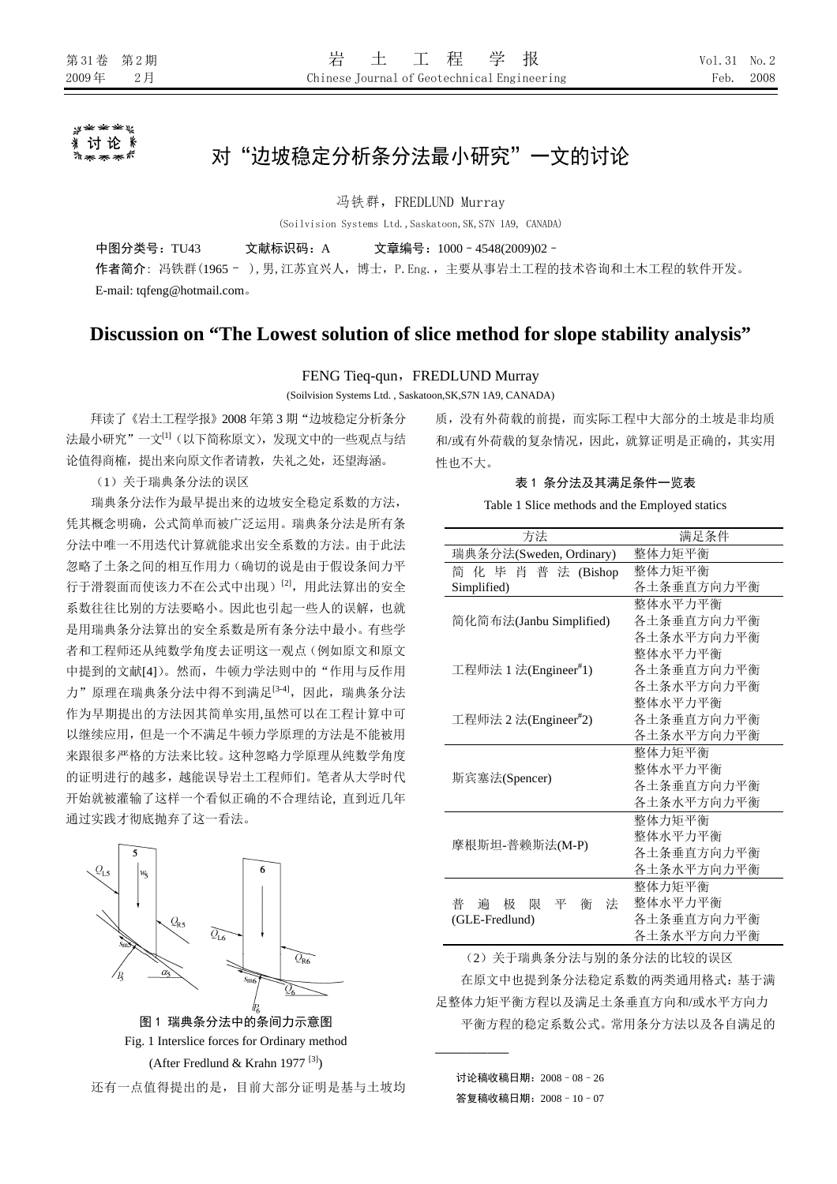#### y\*\*\*\* 讨论 》 \*\*\*\*

# 对"边坡稳定分析条分法最小研究"一文的讨论

冯铁群,FREDLUND Murray

(Soilvision Systems Ltd.,Saskatoon,SK,S7N 1A9, CANADA)

中图分类号:TU43 文献标识码:A 文章编号:1000–4548(2009)02– 作者简介: 冯铁群(1965 - ),男,江苏宜兴人, 博士, P. Eng., 主要从事岩土工程的技术咨询和土木工程的软件开发。 E-mail: tqfeng@hotmail.com。

# **Discussion on "The Lowest solution of slice method for slope stability analysis"**

# FENG Tieq-qun, FREDLUND Murray

(Soilvision Systems Ltd. , Saskatoon,SK,S7N 1A9, CANADA)

拜读了《岩土工程学报》2008 年第 3 期"边坡稳定分析条分 法最小研究"一文[1](以下简称原文),发现文中的一些观点与结 论值得商榷,提出来向原文作者请教,失礼之处,还望海涵。

(1)关于瑞典条分法的误区

瑞典条分法作为最早提出来的边坡安全稳定系数的方法, 凭其概念明确,公式简单而被广泛运用。瑞典条分法是所有条 分法中唯一不用迭代计算就能求出安全系数的方法。由于此法 忽略了土条之间的相互作用力(确切的说是由于假设条间力平 行于滑裂面而使该力不在公式中出现)[2],用此法算出的安全 系数往往比别的方法要略小。因此也引起一些人的误解,也就 是用瑞典条分法算出的安全系数是所有条分法中最小。有些学 者和工程师还从纯数学角度去证明这一观点(例如原文和原文 中提到的文献[4])。然而,牛顿力学法则中的"作用与反作用 力"原理在瑞典条分法中得不到满足<sup>[3-4]</sup>,因此,瑞典条分法 作为早期提出的方法因其简单实用,虽然可以在工程计算中可 以继续应用,但是一个不满足牛顿力学原理的方法是不能被用 来跟很多严格的方法来比较。这种忽略力学原理从纯数学角度 的证明进行的越多,越能误导岩土工程师们。笔者从大学时代 开始就被灌输了这样一个看似正确的不合理结论, 直到近几年 通过实践才彻底抛弃了这一看法。

 $|_{w_{5}}$  $Q_{\rm RS}$  $Q_{\rm LS}$  $\widetilde{\mathcal{Q}_{\mathsf{R6}}}$  $/_{P_{5}}$  $\alpha$ 图 1 瑞典条分法中的条间力示意图 Fig. 1 Interslice forces for Ordinary method (After Fredlund & Krahn 1977 [3]) 还有一点值得提出的是,目前大部分证明是基与土坡均 质,没有外荷载的前提,而实际工程中大部分的土坡是非均质 和/或有外荷载的复杂情况,因此,就算证明是正确的,其实用 性也不大。

## 表 1 条分法及其满足条件一览表

Table 1 Slice methods and the Employed statics

| 方法                           | 满足条件       |  |  |
|------------------------------|------------|--|--|
| 瑞典条分法(Sweden, Ordinary)      | 整体力矩平衡     |  |  |
| 化 毕 肖 普 法 (Bishop<br>简       | 整体力矩平衡     |  |  |
| Simplified)                  | 各土条垂直方向力平衡 |  |  |
|                              | 整体水平力平衡    |  |  |
| 简化简布法(Janbu Simplified)      | 各土条垂直方向力平衡 |  |  |
|                              | 各土条水平方向力平衡 |  |  |
|                              | 整体水平力平衡    |  |  |
| 工程师法 1 法(Engineer#1)         | 各土条垂直方向力平衡 |  |  |
|                              | 各土条水平方向力平衡 |  |  |
|                              | 整体水平力平衡    |  |  |
| 工程师法 2 法(Engineer#2)         | 各土条垂直方向力平衡 |  |  |
|                              | 各土条水平方向力平衡 |  |  |
|                              | 整体力矩平衡     |  |  |
| 斯宾塞法(Spencer)                | 整体水平力平衡    |  |  |
|                              | 各土条垂直方向力平衡 |  |  |
|                              | 各土条水平方向力平衡 |  |  |
|                              | 整体力矩平衡     |  |  |
| 摩根斯坦-普赖斯法(M-P)               | 整体水平力平衡    |  |  |
|                              | 各土条垂直方向力平衡 |  |  |
|                              | 各土条水平方向力平衡 |  |  |
|                              | 整体力矩平衡     |  |  |
| 普<br>极 限<br>平<br>谝<br>衝<br>泆 | 整体水平力平衡    |  |  |
| (GLE-Fredlund)               | 各土条垂直方向力平衡 |  |  |
|                              | 各土条水平方向力平衡 |  |  |

(2)关于瑞典条分法与别的条分法的比较的误区

在原文中也提到条分法稳定系数的两类通用格式:基于满 足整体力矩平衡方程以及满足土条垂直方向和/或水平方向力 平衡方程的稳定系数公式。常用条分方法以及各自满足的

讨论稿收稿日期:2008–08–26

───────

答复稿收稿日期:2008–10–07